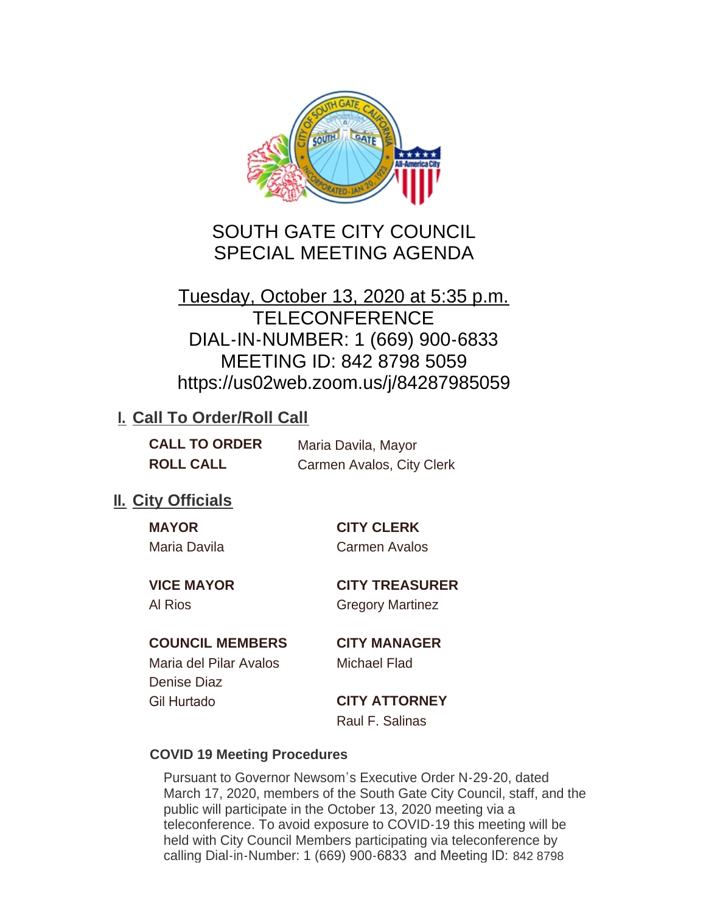

# SOUTH GATE CITY COUNCIL SPECIAL MEETING AGENDA

# Tuesday, October 13, 2020 at 5:35 p.m. **TELECONFERENCE** DIAL-IN-NUMBER: 1 (669) 900-6833 MEETING ID: 842 8798 5059 https://us02web.zoom.us/j/84287985059

## **I. Call To Order/Roll Call**

| <b>CALL TO ORDER</b> | Maria Davila, Mayor       |
|----------------------|---------------------------|
| <b>ROLL CALL</b>     | Carmen Avalos, City Clerk |

### **II.** City Officials

| <b>MAYOR</b> |  |
|--------------|--|
| Maria Davila |  |

**MAYOR CITY CLERK** Carmen Avalos

**VICE MAYOR CITY TREASURER** Al Rios Gregory Martinez

#### **COUNCIL MEMBERS CITY MANAGER**

Maria del Pilar Avalos Michael Flad Denise Diaz Gil Hurtado **CITY ATTORNEY**

Raul F. Salinas

#### **COVID 19 Meeting Procedures**

Pursuant to Governor Newsom's Executive Order N-29-20, dated March 17, 2020, members of the South Gate City Council, staff, and the public will participate in the October 13, 2020 meeting via a teleconference. To avoid exposure to COVID-19 this meeting will be held with City Council Members participating via teleconference by calling Dial-in-Number: 1 (669) 900-6833 and Meeting ID: 842 8798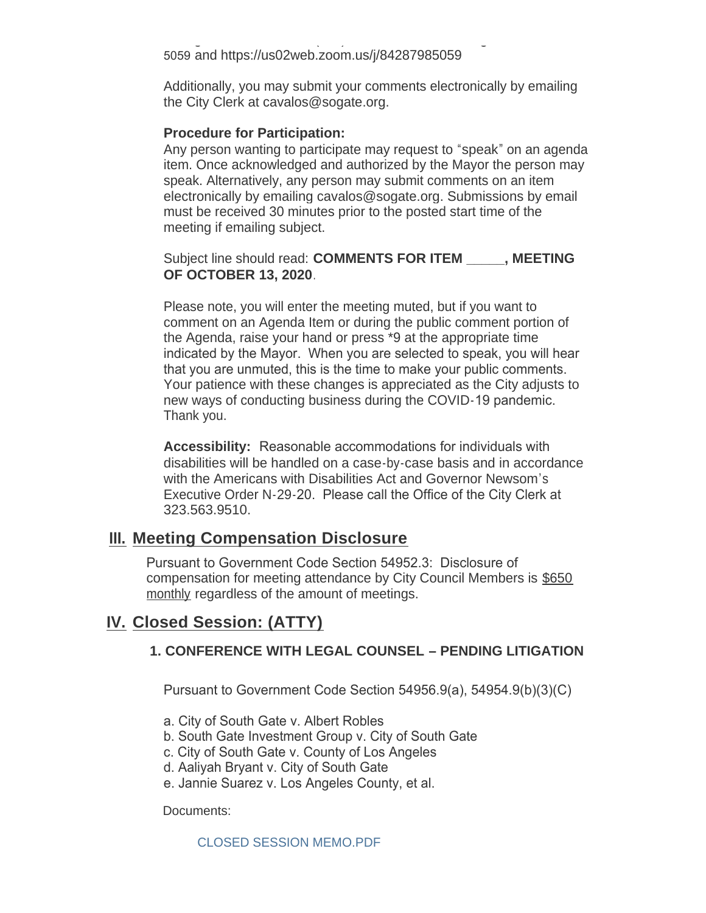calling Dial-in-Number: 1 (669) 900-6833 and Meeting ID: 842 8798 5059 and https://us02web.zoom.us/j/84287985059

Additionally, you may submit your comments electronically by emailing the City Clerk at cavalos@sogate.org.

#### **Procedure for Participation:**

Any person wanting to participate may request to "speak" on an agenda item. Once acknowledged and authorized by the Mayor the person may speak. Alternatively, any person may submit comments on an item electronically by emailing cavalos@sogate.org. Submissions by email must be received 30 minutes prior to the posted start time of the meeting if emailing subject.

Subject line should read: **COMMENTS FOR ITEM \_\_\_\_\_, MEETING OF OCTOBER 13, 2020**.

Please note, you will enter the meeting muted, but if you want to comment on an Agenda Item or during the public comment portion of the Agenda, raise your hand or press \*9 at the appropriate time indicated by the Mayor. When you are selected to speak, you will hear that you are unmuted, this is the time to make your public comments. Your patience with these changes is appreciated as the City adjusts to new ways of conducting business during the COVID-19 pandemic. Thank you.

**Accessibility:** Reasonable accommodations for individuals with disabilities will be handled on a case-by-case basis and in accordance with the Americans with Disabilities Act and Governor Newsom's Executive Order N-29-20. Please call the Office of the City Clerk at 323.563.9510.

### **Meeting Compensation Disclosure III.**

Pursuant to Government Code Section 54952.3: Disclosure of compensation for meeting attendance by City Council Members is \$650 monthly regardless of the amount of meetings.

### **Closed Session: (ATTY) IV.**

#### **1. CONFERENCE WITH LEGAL COUNSEL – PENDING LITIGATION**

Pursuant to Government Code Section 54956.9(a), 54954.9(b)(3)(C)

- a. City of South Gate v. Albert Robles
- b. South Gate Investment Group v. City of South Gate
- c. City of South Gate v. County of Los Angeles
- d. Aaliyah Bryant v. City of South Gate
- e. Jannie Suarez v. Los Angeles County, et al.

Documents:

CLOSED SESSION MEMO.PDF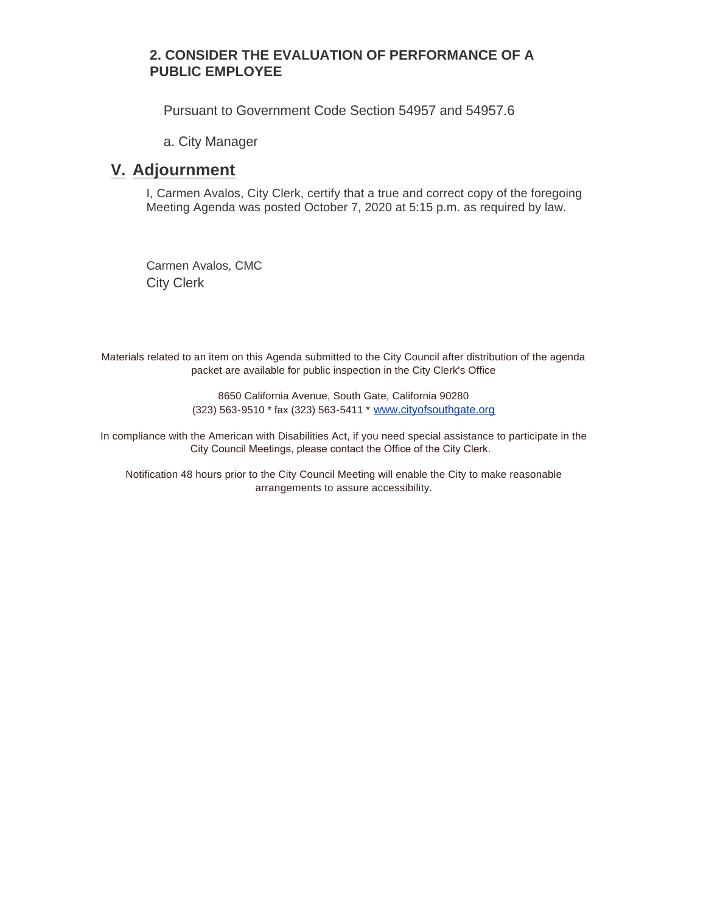#### **2. CONSIDER THE EVALUATION OF PERFORMANCE OF A PUBLIC EMPLOYEE**

Pursuant to Government Code Section 54957 and 54957.6

a. City Manager

### **Adjournment V.**

I, Carmen Avalos, City Clerk, certify that a true and correct copy of the foregoing Meeting Agenda was posted October 7, 2020 at 5:15 p.m. as required by law.

Carmen Avalos, CMC City Clerk

Materials related to an item on this Agenda submitted to the City Council after distribution of the agenda packet are available for public inspection in the City Clerk's Office

> 8650 California Avenue, South Gate, California 90280 (323) 563-9510 \* fax (323) 563-5411 \* [www.cityofsouthgate.org](http://www.cityofsouthgate.org/)

In compliance with the American with Disabilities Act, if you need special assistance to participate in the City Council Meetings, please contact the Office of the City Clerk.

Notification 48 hours prior to the City Council Meeting will enable the City to make reasonable arrangements to assure accessibility.